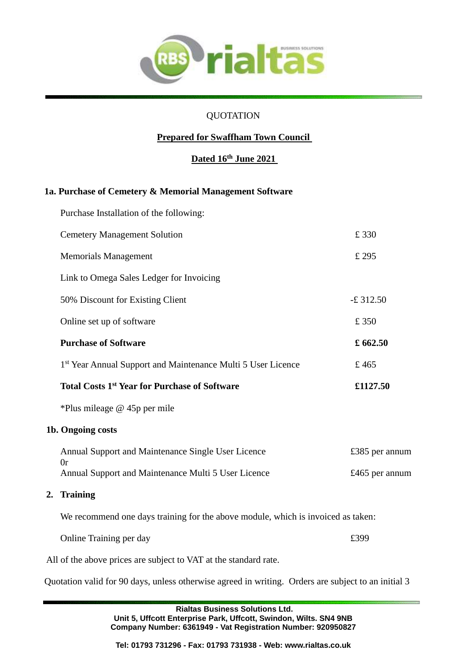

### QUOTATION

# **Prepared for Swaffham Town Council**

# **Dated 16th June 2021**

#### **1a. Purchase of Cemetery & Memorial Management Software**

|    | Purchase Installation of the following:                                          |                |
|----|----------------------------------------------------------------------------------|----------------|
|    | <b>Cemetery Management Solution</b>                                              | £330           |
|    | <b>Memorials Management</b>                                                      | £ 295          |
|    | Link to Omega Sales Ledger for Invoicing                                         |                |
|    | 50% Discount for Existing Client                                                 | $-£$ 312.50    |
|    | Online set up of software                                                        | £ 350          |
|    | <b>Purchase of Software</b>                                                      | £662.50        |
|    | 1st Year Annual Support and Maintenance Multi 5 User Licence                     | £465           |
|    | <b>Total Costs 1st Year for Purchase of Software</b>                             | £1127.50       |
|    | *Plus mileage @ 45p per mile                                                     |                |
|    | 1b. Ongoing costs                                                                |                |
|    | Annual Support and Maintenance Single User Licence<br>0r                         | £385 per annum |
|    | Annual Support and Maintenance Multi 5 User Licence                              | £465 per annum |
| 2. | <b>Training</b>                                                                  |                |
|    | We recommend one days training for the above module, which is invoiced as taken: |                |
|    | Online Training per day                                                          | £399           |
|    | All of the above prices are subject to VAT at the standard rate.                 |                |

Quotation valid for 90 days, unless otherwise agreed in writing. Orders are subject to an initial 3

**Rialtas Business Solutions Ltd. Unit 5, Uffcott Enterprise Park, Uffcott, Swindon, Wilts. SN4 9NB Company Number: 6361949 - Vat Registration Number: 920950827**

**Tel: 01793 731296 - Fax: 01793 731938 - Web: www.rialtas.co.uk**